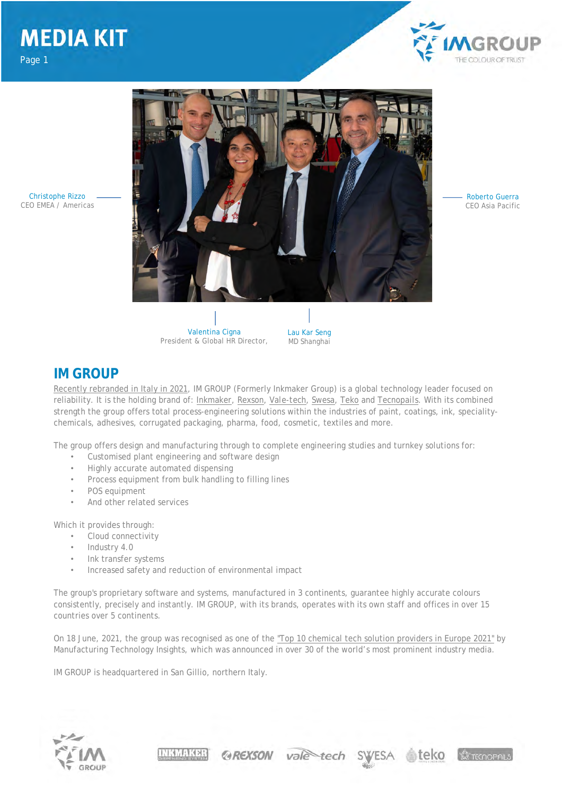

Christophe Rizzo CEO EMEA / Americas



Roberto Guerra CEO Asia Pacific

Valentina Cigna President & Global HR Director,

Lau Kar Seng MD Shanghai

### **IM GROUP**

Recently rebranded in Italy in 2021, IM GROUP (Formerly Inkmaker Group) is a global technology leader focused on reliability. It is the holding brand of: *Inkmaker*, *Rexson*, *Vale-tech*, *Swesa*, *Teko* and *Tecnopails*. With its combined strength the group offers total process-engineering solutions within the industries of paint, coatings, ink, specialitychemicals, adhesives, corrugated packaging, pharma, food, cosmetic, textiles and more.

The group offers design and manufacturing through to complete engineering studies and turnkey solutions for:

- Customised plant engineering and software design
- Highly accurate automated dispensing
- Process equipment from bulk handling to filling lines
- POS equipment
- And other related services

Which it provides through:

- Cloud connectivity
- Industry 4.0
- Ink transfer systems
- Increased safety and reduction of environmental impact

The group's proprietary software and systems, manufactured in 3 continents, guarantee highly accurate colours consistently, precisely and instantly. IM GROUP, with its brands, operates with its own staff and offices in over 15 countries over 5 continents.

On 18 June, 2021, the group was recognised as one of the "Top 10 chemical tech solution providers in Europe 2021" by Manufacturing Technology Insights, which was announced in over 30 of the world's most prominent industry media.

**@REXSON** vale tech

**SWESA** 

IM GROUP is headquartered in San Gillio, northern Italy.

INKMAKER



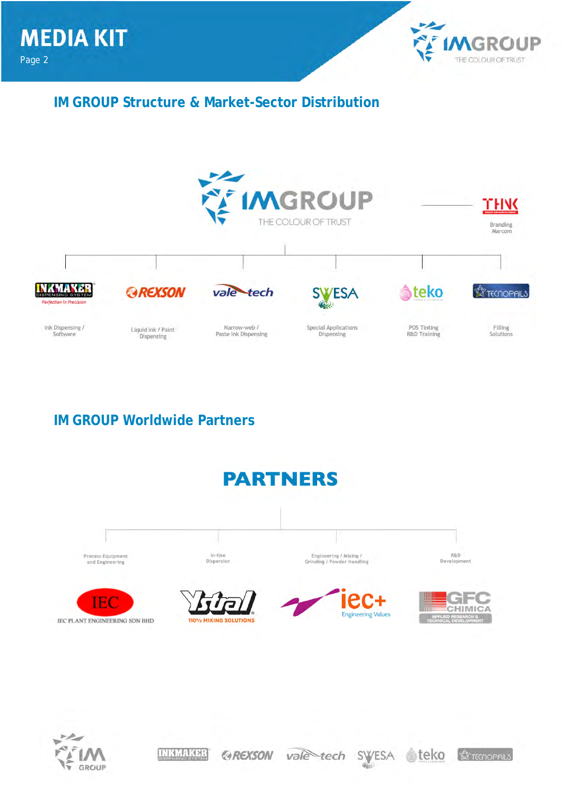

teko

**SC TECNOPAILS** 

vale tech SWESA

**IM GROUP Structure & Market-Sector Distribution**



## **IM GROUP Worldwide Partners**

**INKMAKER** 

*@REXSON* 



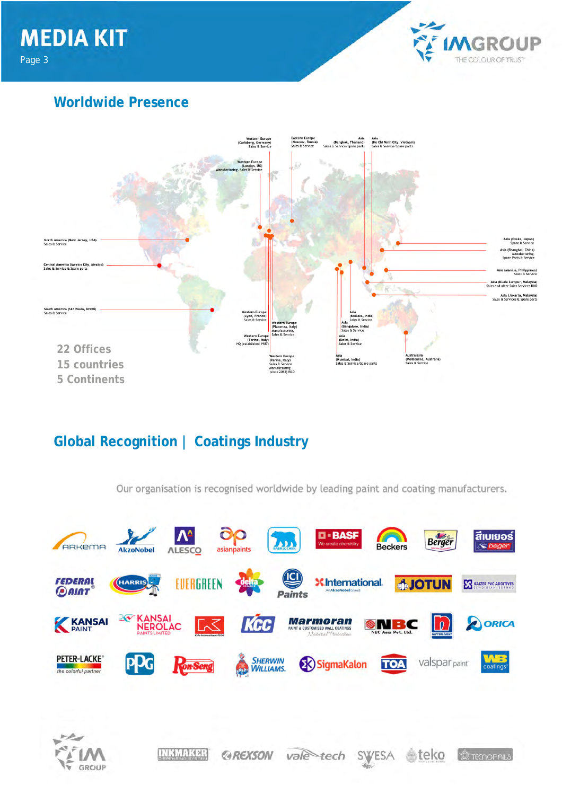**MEDIA KIT** Page 3



## **Worldwide Presence**



## **Global Recognition | Coatings Industry**

Our organisation is recognised worldwide by leading paint and coating manufacturers.

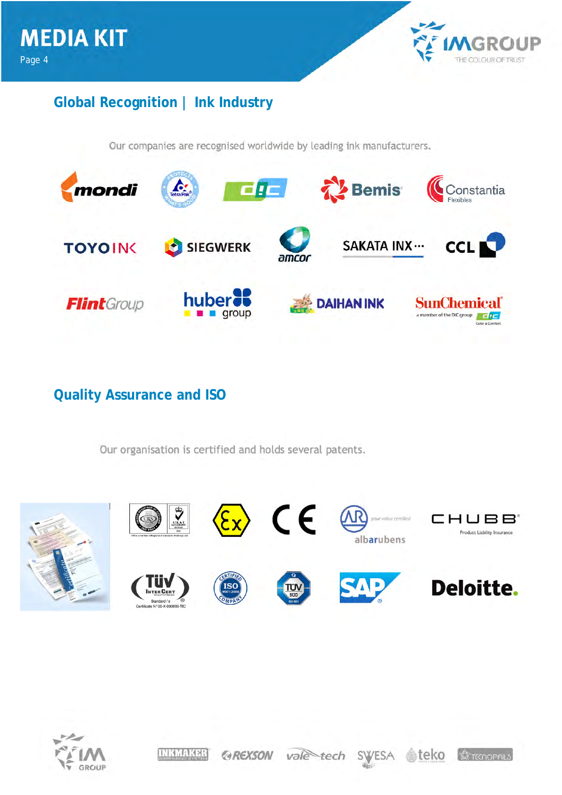

## **Global Recognition | Ink Industry**

Our companies are recognised worldwide by leading ink manufacturers.



**Quality Assurance and ISO**

Our organisation is certified and holds several patents.





**INKMAKER** ≜teko *@REXSON* vale tech SWESA **SETECNOPAILS**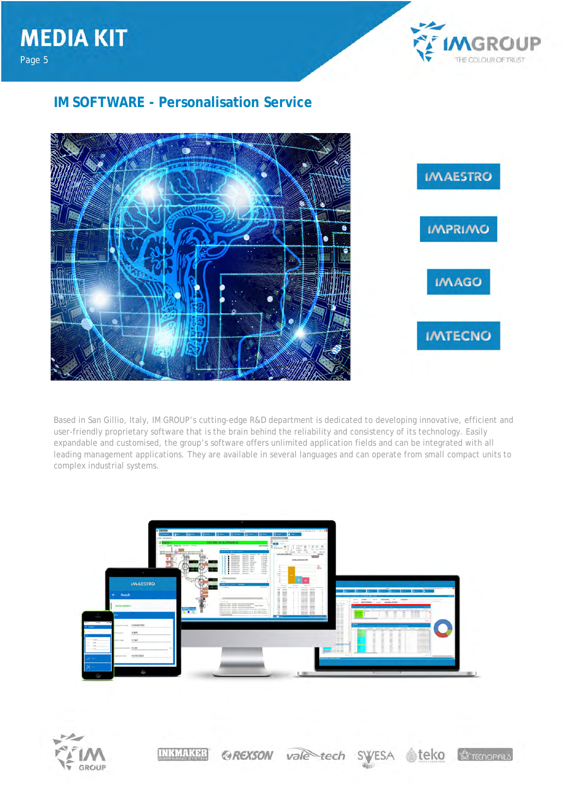

## **IM SOFTWARE - Personalisation Service**

Page 5



Based in San Gillio, Italy, IM GROUP's cutting-edge R&D department is dedicated to developing innovative, efficient and user-friendly proprietary software that is the brain behind the reliability and consistency of its technology. Easily expandable and customised, the group's software offers unlimited application fields and can be integrated with all leading management applications. They are available in several languages and can operate from small compact units to complex industrial systems.



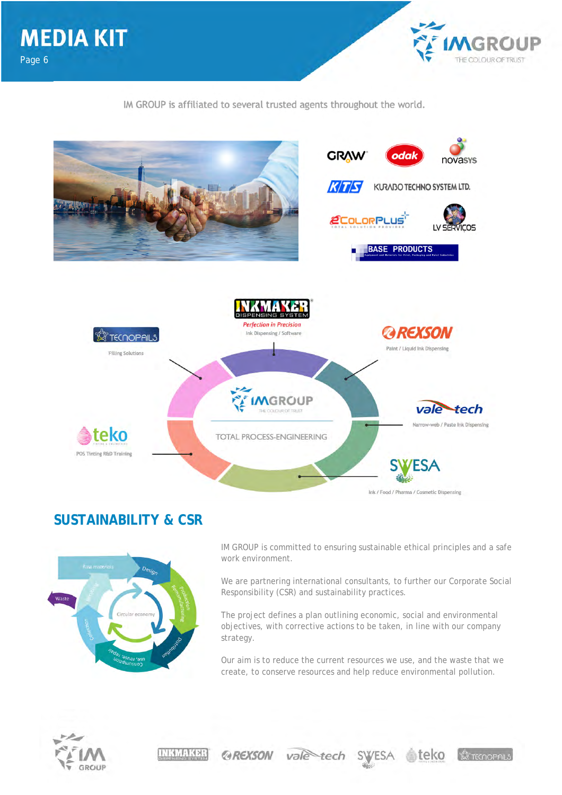IM GROUP is affiliated to several trusted agents throughout the world.

GROUP

E COLOUR OF TRUST



## **SUSTAINABILITY & CSR**



IM GROUP is committed to ensuring sustainable ethical principles and a safe work environment.

We are partnering international consultants, to further our Corporate Social Responsibility (CSR) and sustainability practices.

The project defines a plan outlining economic, social and environmental objectives, with corrective actions to be taken, in line with our company strategy.

Our aim is to reduce the current resources we use, and the waste that we create, to conserve resources and help reduce environmental pollution.